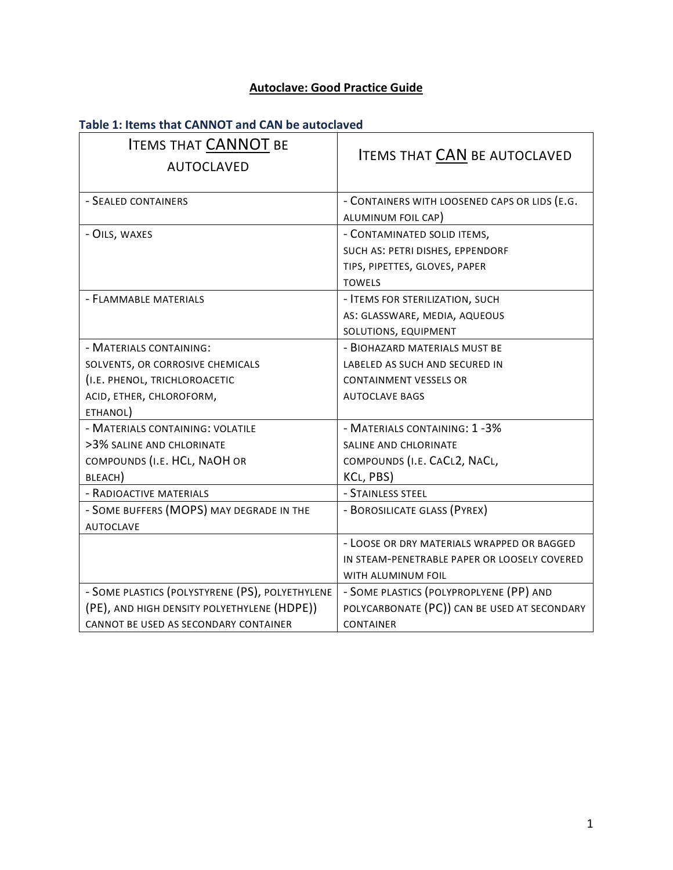# **Autoclave: Good Practice Guide**

# **Table 1: Items that CANNOT and CAN be autoclaved**

| <b>ITEMS THAT CANNOT BE</b><br><b>AUTOCLAVED</b> | <b>ITEMS THAT CAN BE AUTOCLAVED</b>           |  |
|--------------------------------------------------|-----------------------------------------------|--|
| - SEALED CONTAINERS                              | - CONTAINERS WITH LOOSENED CAPS OR LIDS (E.G. |  |
|                                                  | ALUMINUM FOIL CAP)                            |  |
| - OILS, WAXES                                    | - CONTAMINATED SOLID ITEMS,                   |  |
|                                                  | SUCH AS: PETRI DISHES, EPPENDORF              |  |
|                                                  | TIPS, PIPETTES, GLOVES, PAPER                 |  |
|                                                  | <b>TOWELS</b>                                 |  |
| - FLAMMABLE MATERIALS                            | - ITEMS FOR STERILIZATION, SUCH               |  |
|                                                  | AS: GLASSWARE, MEDIA, AQUEOUS                 |  |
|                                                  | SOLUTIONS, EQUIPMENT                          |  |
| - MATERIALS CONTAINING:                          | - BIOHAZARD MATERIALS MUST BE                 |  |
| SOLVENTS, OR CORROSIVE CHEMICALS                 | LABELED AS SUCH AND SECURED IN                |  |
| (I.E. PHENOL, TRICHLOROACETIC                    | <b>CONTAINMENT VESSELS OR</b>                 |  |
| ACID, ETHER, CHLOROFORM,                         | <b>AUTOCLAVE BAGS</b>                         |  |
| ETHANOL)                                         |                                               |  |
| - MATERIALS CONTAINING: VOLATILE                 | - MATERIALS CONTAINING: 1-3%                  |  |
| >3% SALINE AND CHLORINATE                        | SALINE AND CHLORINATE                         |  |
| COMPOUNDS (I.E. HCL, NAOH OR                     | COMPOUNDS (I.E. CACL2, NACL,                  |  |
| BLEACH)                                          | KCL, PBS)                                     |  |
| - RADIOACTIVE MATERIALS                          | - STAINLESS STEEL                             |  |
| - SOME BUFFERS (MOPS) MAY DEGRADE IN THE         | - BOROSILICATE GLASS (PYREX)                  |  |
| <b>AUTOCLAVE</b>                                 |                                               |  |
|                                                  | - LOOSE OR DRY MATERIALS WRAPPED OR BAGGED    |  |
|                                                  | IN STEAM-PENETRABLE PAPER OR LOOSELY COVERED  |  |
|                                                  | WITH ALUMINUM FOIL                            |  |
| - SOME PLASTICS (POLYSTYRENE (PS), POLYETHYLENE  | - SOME PLASTICS (POLYPROPLYENE (PP) AND       |  |
| (PE), AND HIGH DENSITY POLYETHYLENE (HDPE))      | POLYCARBONATE (PC)) CAN BE USED AT SECONDARY  |  |
| CANNOT BE USED AS SECONDARY CONTAINER            | <b>CONTAINER</b>                              |  |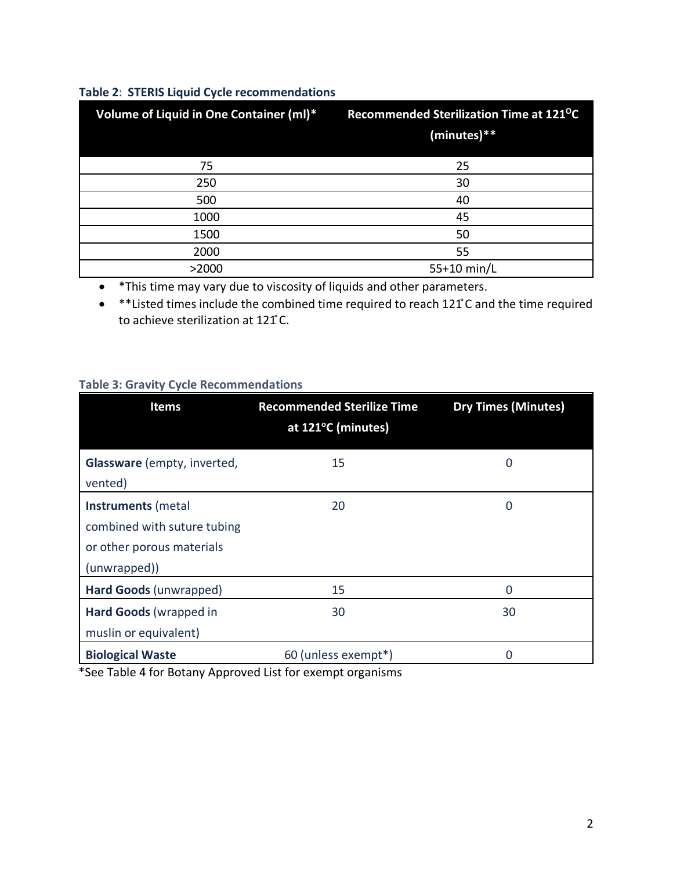### **Table 2**: **STERIS Liquid Cycle recommendations**

| Volume of Liquid in One Container (ml)* | Recommended Sterilization Time at 121 <sup>o</sup> C<br>(minutes)** |
|-----------------------------------------|---------------------------------------------------------------------|
| 75                                      | 25                                                                  |
| 250                                     | 30                                                                  |
| 500                                     | 40                                                                  |
| 1000                                    | 45                                                                  |
| 1500                                    | 50                                                                  |
| 2000                                    | 55                                                                  |
| >2000                                   | 55+10 min/L                                                         |

• \*This time may vary due to viscosity of liquids and other parameters.

• \*\*Listed times include the combined time required to reach 121 ̊C and the time required to achieve sterilization at 121°C.

#### **Table 3: Gravity Cycle Recommendations**

| <b>Items</b>                | <b>Recommended Sterilize Time</b><br>at 121°C (minutes) | <b>Dry Times (Minutes)</b> |
|-----------------------------|---------------------------------------------------------|----------------------------|
| Glassware (empty, inverted, | 15                                                      | 0                          |
| vented)                     |                                                         |                            |
| Instruments (metal          | 20                                                      | 0                          |
| combined with suture tubing |                                                         |                            |
| or other porous materials   |                                                         |                            |
| (unwrapped))                |                                                         |                            |
| Hard Goods (unwrapped)      | 15                                                      | 0                          |
| Hard Goods (wrapped in      | 30                                                      | 30                         |
| muslin or equivalent)       |                                                         |                            |
| <b>Biological Waste</b>     | 60 (unless exempt*)                                     | 0                          |

\*See Table 4 for Botany Approved List for exempt organisms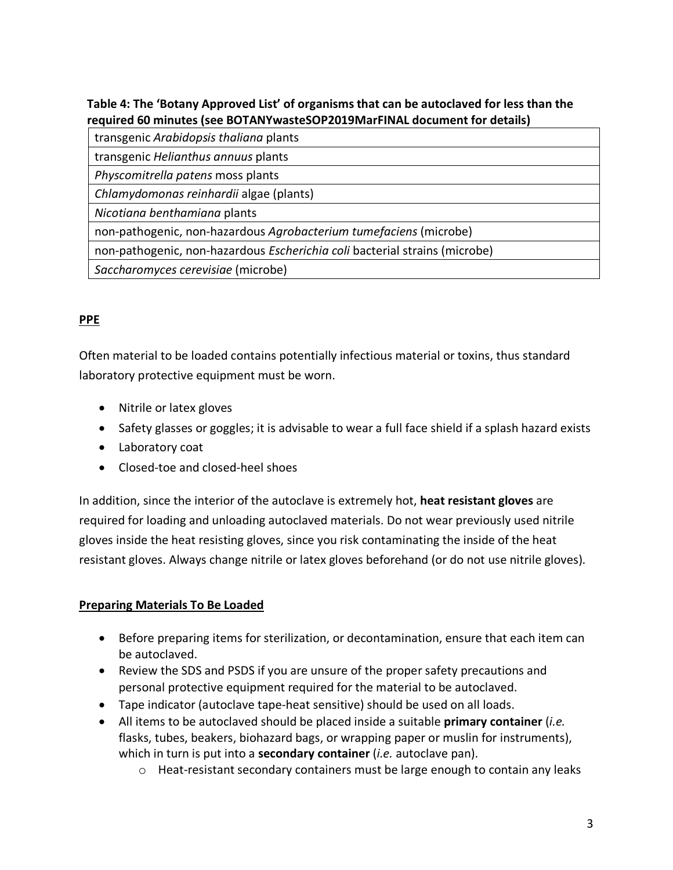### **Table 4: The 'Botany Approved List' of organisms that can be autoclaved for less than the required 60 minutes (see BOTANYwasteSOP2019MarFINAL document for details)**

| transgenic Arabidopsis thaliana plants                                     |
|----------------------------------------------------------------------------|
| transgenic Helianthus annuus plants                                        |
| Physcomitrella patens moss plants                                          |
| Chlamydomonas reinhardii algae (plants)                                    |
| Nicotiana benthamiana plants                                               |
| non-pathogenic, non-hazardous Agrobacterium tumefaciens (microbe)          |
| non-pathogenic, non-hazardous Escherichia coli bacterial strains (microbe) |
| Saccharomyces cerevisiae (microbe)                                         |
|                                                                            |

## **PPE**

Often material to be loaded contains potentially infectious material or toxins, thus standard laboratory protective equipment must be worn.

- Nitrile or latex gloves
- Safety glasses or goggles; it is advisable to wear a full face shield if a splash hazard exists
- Laboratory coat
- Closed-toe and closed-heel shoes

In addition, since the interior of the autoclave is extremely hot, **heat resistant gloves** are required for loading and unloading autoclaved materials. Do not wear previously used nitrile gloves inside the heat resisting gloves, since you risk contaminating the inside of the heat resistant gloves. Always change nitrile or latex gloves beforehand (or do not use nitrile gloves).

### **Preparing Materials To Be Loaded**

- Before preparing items for sterilization, or decontamination, ensure that each item can be autoclaved.
- Review the SDS and PSDS if you are unsure of the proper safety precautions and personal protective equipment required for the material to be autoclaved.
- Tape indicator (autoclave tape-heat sensitive) should be used on all loads.
- All items to be autoclaved should be placed inside a suitable **primary container** (*i.e.*  flasks, tubes, beakers, biohazard bags, or wrapping paper or muslin for instruments), which in turn is put into a **secondary container** (*i.e.* autoclave pan).
	- o Heat-resistant secondary containers must be large enough to contain any leaks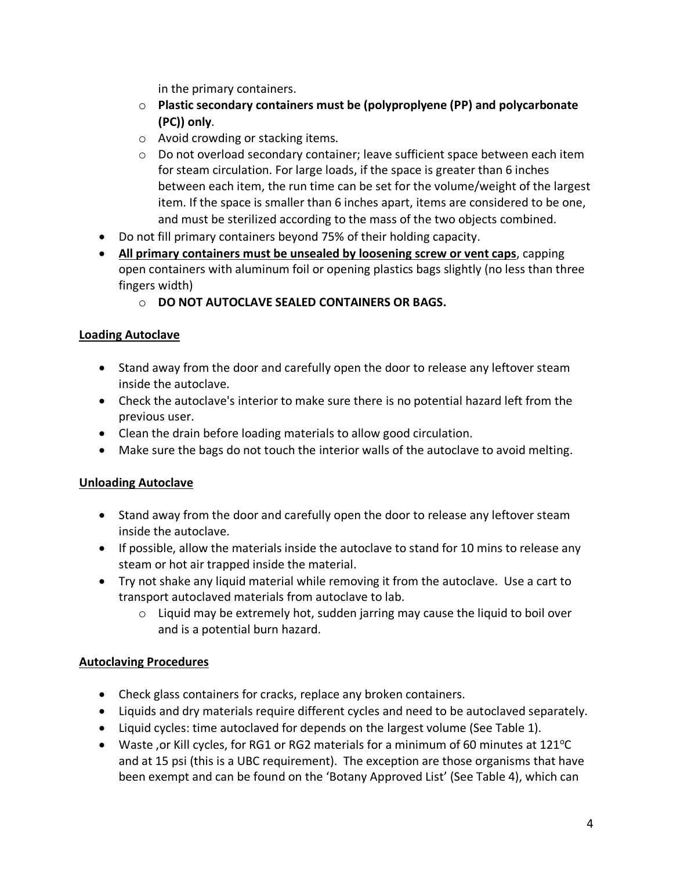in the primary containers.

- o **Plastic secondary containers must be (polyproplyene (PP) and polycarbonate (PC)) only**.
- o Avoid crowding or stacking items.
- o Do not overload secondary container; leave sufficient space between each item for steam circulation. For large loads, if the space is greater than 6 inches between each item, the run time can be set for the volume/weight of the largest item. If the space is smaller than 6 inches apart, items are considered to be one, and must be sterilized according to the mass of the two objects combined.
- Do not fill primary containers beyond 75% of their holding capacity.
- **All primary containers must be unsealed by loosening screw or vent caps**, capping open containers with aluminum foil or opening plastics bags slightly (no less than three fingers width)
	- o **DO NOT AUTOCLAVE SEALED CONTAINERS OR BAGS.**

### **Loading Autoclave**

- Stand away from the door and carefully open the door to release any leftover steam inside the autoclave.
- Check the autoclave's interior to make sure there is no potential hazard left from the previous user.
- Clean the drain before loading materials to allow good circulation.
- Make sure the bags do not touch the interior walls of the autoclave to avoid melting.

### **Unloading Autoclave**

- Stand away from the door and carefully open the door to release any leftover steam inside the autoclave.
- If possible, allow the materials inside the autoclave to stand for 10 mins to release any steam or hot air trapped inside the material.
- Try not shake any liquid material while removing it from the autoclave. Use a cart to transport autoclaved materials from autoclave to lab.
	- $\circ$  Liquid may be extremely hot, sudden jarring may cause the liquid to boil over and is a potential burn hazard.

### **Autoclaving Procedures**

- Check glass containers for cracks, replace any broken containers.
- Liquids and dry materials require different cycles and need to be autoclaved separately.
- Liquid cycles: time autoclaved for depends on the largest volume (See Table 1).
- Waste, or Kill cycles, for RG1 or RG2 materials for a minimum of 60 minutes at 121°C and at 15 psi (this is a UBC requirement). The exception are those organisms that have been exempt and can be found on the 'Botany Approved List' (See Table 4), which can